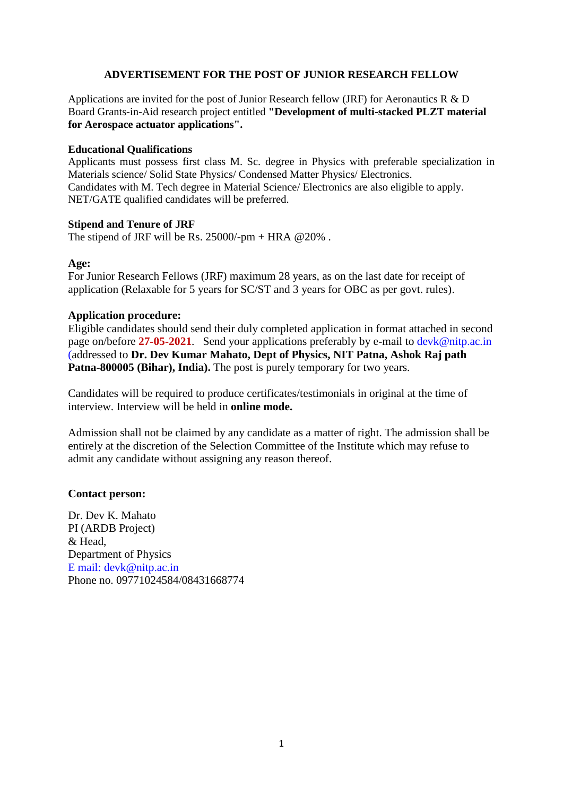#### **ADVERTISEMENT FOR THE POST OF JUNIOR RESEARCH FELLOW**

Applications are invited for the post of Junior Research fellow (JRF) for Aeronautics R & D Board Grants-in-Aid research project entitled **"Development of multi-stacked PLZT material for Aerospace actuator applications".**

#### **Educational Qualifications**

Applicants must possess first class M. Sc. degree in Physics with preferable specialization in Materials science/ Solid State Physics/ Condensed Matter Physics/ Electronics. Candidates with M. Tech degree in Material Science/ Electronics are also eligible to apply. NET/GATE qualified candidates will be preferred.

#### **Stipend and Tenure of JRF**

The stipend of JRF will be Rs.  $25000/\text{-pm} + \text{HRA} \& 20\%$ .

#### **Age:**

For Junior Research Fellows (JRF) maximum 28 years, as on the last date for receipt of application (Relaxable for 5 years for SC/ST and 3 years for OBC as per govt. rules).

#### **Application procedure:**

Eligible candidates should send their duly completed application in format attached in second page on/before **27-05-2021**. Send your applications preferably by e-mail to devk@nitp.ac.in (addressed to **Dr. Dev Kumar Mahato, Dept of Physics, NIT Patna, Ashok Raj path Patna-800005 (Bihar), India).** The post is purely temporary for two years.

Candidates will be required to produce certificates/testimonials in original at the time of interview. Interview will be held in **online mode.**

Admission shall not be claimed by any candidate as a matter of right. The admission shall be entirely at the discretion of the Selection Committee of the Institute which may refuse to admit any candidate without assigning any reason thereof.

#### **Contact person:**

Dr. Dev K. Mahato PI (ARDB Project) & Head, Department of Physics E mail: devk@nitp.ac.in Phone no. 09771024584/08431668774